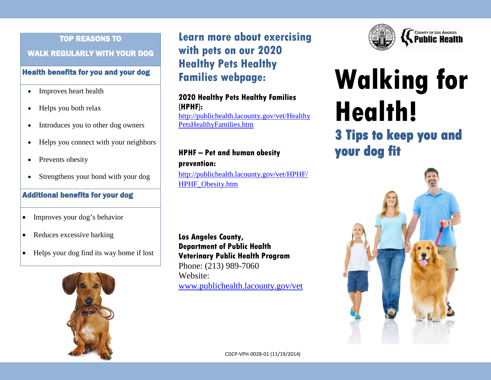# TOP REASONS TO WALK REGULARLY WITH YOUR DOG

#### Health benefits for you and your dog

- Improves heart health
- Helps you both relax
- Introduces you to other dog owners
- Helps you connect with your neighbors
- Prevents obesity
- Strengthens your bond with your dog

#### Additional benefits for your dog

- Improves your dog's behavior
- Reduces excessive barking
- Helps your dog find its way home if lost



**Learn more about exercising with pets on our 2020 Healthy Pets Healthy Families webpage:**

**2020 Healthy Pets Healthy Families (HPHF):** [http://publichealth.lacounty.gov/vet/Healthy](http://publichealth.lacounty.gov/vet/HealthyPetsHealthyFamilies.htm) [PetsHealthyFamilies.htm](http://publichealth.lacounty.gov/vet/HealthyPetsHealthyFamilies.htm)

#### **HPHF – Pet and human obesity prevention:**

[http://publichealth.lacounty.gov/vet/HPHF/](http://publichealth.lacounty.gov/vet/HPHF/HPHF_Obesity.htm) [HPHF\\_Obesity.htm](http://publichealth.lacounty.gov/vet/HPHF/HPHF_Obesity.htm)

**Los Angeles County, Department of Public Health Veterinary Public Health Program** Phone: (213) 989-7060 Website: [www.publichealth.lacounty.gov/vet](http://www.publichealth.lacounty.gov/vet)



# **Walking for Health! 3 Tips to keep you and**





CDCP-VPH-0028-01 (11/19/2014)